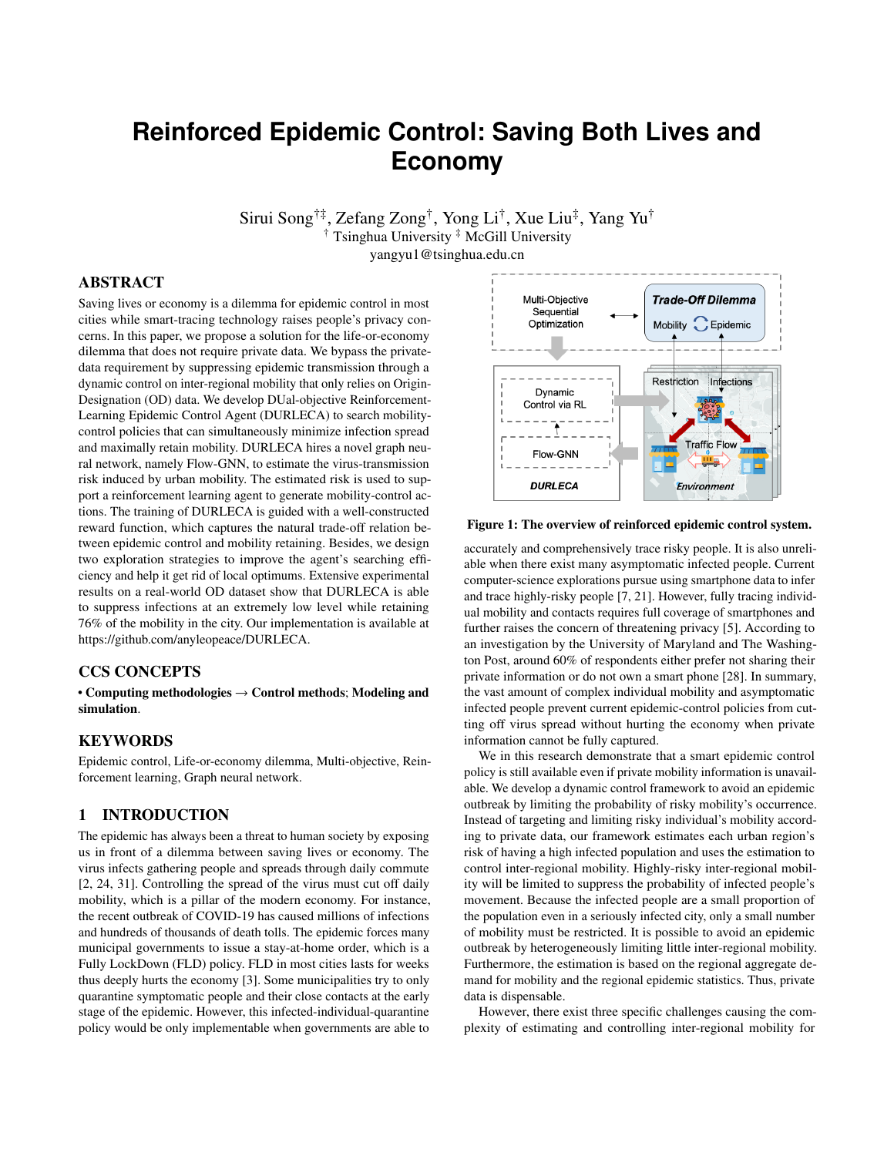# **Reinforced Epidemic Control: Saving Both Lives and Economy**

Sirui Song†‡, Zefang Zong† , Yong Li† , Xue Liu‡ , Yang Yu† † Tsinghua University ‡ McGill University

yangyu1@tsinghua.edu.cn

# ABSTRACT

Saving lives or economy is a dilemma for epidemic control in most cities while smart-tracing technology raises people's privacy concerns. In this paper, we propose a solution for the life-or-economy dilemma that does not require private data. We bypass the privatedata requirement by suppressing epidemic transmission through a dynamic control on inter-regional mobility that only relies on Origin-Designation (OD) data. We develop DUal-objective Reinforcement-Learning Epidemic Control Agent (DURLECA) to search mobilitycontrol policies that can simultaneously minimize infection spread and maximally retain mobility. DURLECA hires a novel graph neural network, namely Flow-GNN, to estimate the virus-transmission risk induced by urban mobility. The estimated risk is used to support a reinforcement learning agent to generate mobility-control actions. The training of DURLECA is guided with a well-constructed reward function, which captures the natural trade-off relation between epidemic control and mobility retaining. Besides, we design two exploration strategies to improve the agent's searching efficiency and help it get rid of local optimums. Extensive experimental results on a real-world OD dataset show that DURLECA is able to suppress infections at an extremely low level while retaining 76% of the mobility in the city. Our implementation is available at [https://github.com/anyleopeace/DURLECA.](https://github.com/anyleopeace/DURLECA)

#### CCS CONCEPTS

• Computing methodologies  $\rightarrow$  Control methods; Modeling and simulation.

# **KEYWORDS**

Epidemic control, Life-or-economy dilemma, Multi-objective, Reinforcement learning, Graph neural network.

# 1 INTRODUCTION

The epidemic has always been a threat to human society by exposing us in front of a dilemma between saving lives or economy. The virus infects gathering people and spreads through daily commute [\[2,](#page-7-0) [24,](#page-7-1) [31\]](#page-7-2). Controlling the spread of the virus must cut off daily mobility, which is a pillar of the modern economy. For instance, the recent outbreak of COVID-19 has caused millions of infections and hundreds of thousands of death tolls. The epidemic forces many municipal governments to issue a stay-at-home order, which is a Fully LockDown (FLD) policy. FLD in most cities lasts for weeks thus deeply hurts the economy [\[3\]](#page-7-3). Some municipalities try to only quarantine symptomatic people and their close contacts at the early stage of the epidemic. However, this infected-individual-quarantine policy would be only implementable when governments are able to



Figure 1: The overview of reinforced epidemic control system.

accurately and comprehensively trace risky people. It is also unreliable when there exist many asymptomatic infected people. Current computer-science explorations pursue using smartphone data to infer and trace highly-risky people [\[7,](#page-7-4) [21\]](#page-7-5). However, fully tracing individual mobility and contacts requires full coverage of smartphones and further raises the concern of threatening privacy [\[5\]](#page-7-6). According to an investigation by the University of Maryland and The Washington Post, around 60% of respondents either prefer not sharing their private information or do not own a smart phone [\[28\]](#page-7-7). In summary, the vast amount of complex individual mobility and asymptomatic infected people prevent current epidemic-control policies from cutting off virus spread without hurting the economy when private information cannot be fully captured.

We in this research demonstrate that a smart epidemic control policy is still available even if private mobility information is unavailable. We develop a dynamic control framework to avoid an epidemic outbreak by limiting the probability of risky mobility's occurrence. Instead of targeting and limiting risky individual's mobility according to private data, our framework estimates each urban region's risk of having a high infected population and uses the estimation to control inter-regional mobility. Highly-risky inter-regional mobility will be limited to suppress the probability of infected people's movement. Because the infected people are a small proportion of the population even in a seriously infected city, only a small number of mobility must be restricted. It is possible to avoid an epidemic outbreak by heterogeneously limiting little inter-regional mobility. Furthermore, the estimation is based on the regional aggregate demand for mobility and the regional epidemic statistics. Thus, private data is dispensable.

However, there exist three specific challenges causing the complexity of estimating and controlling inter-regional mobility for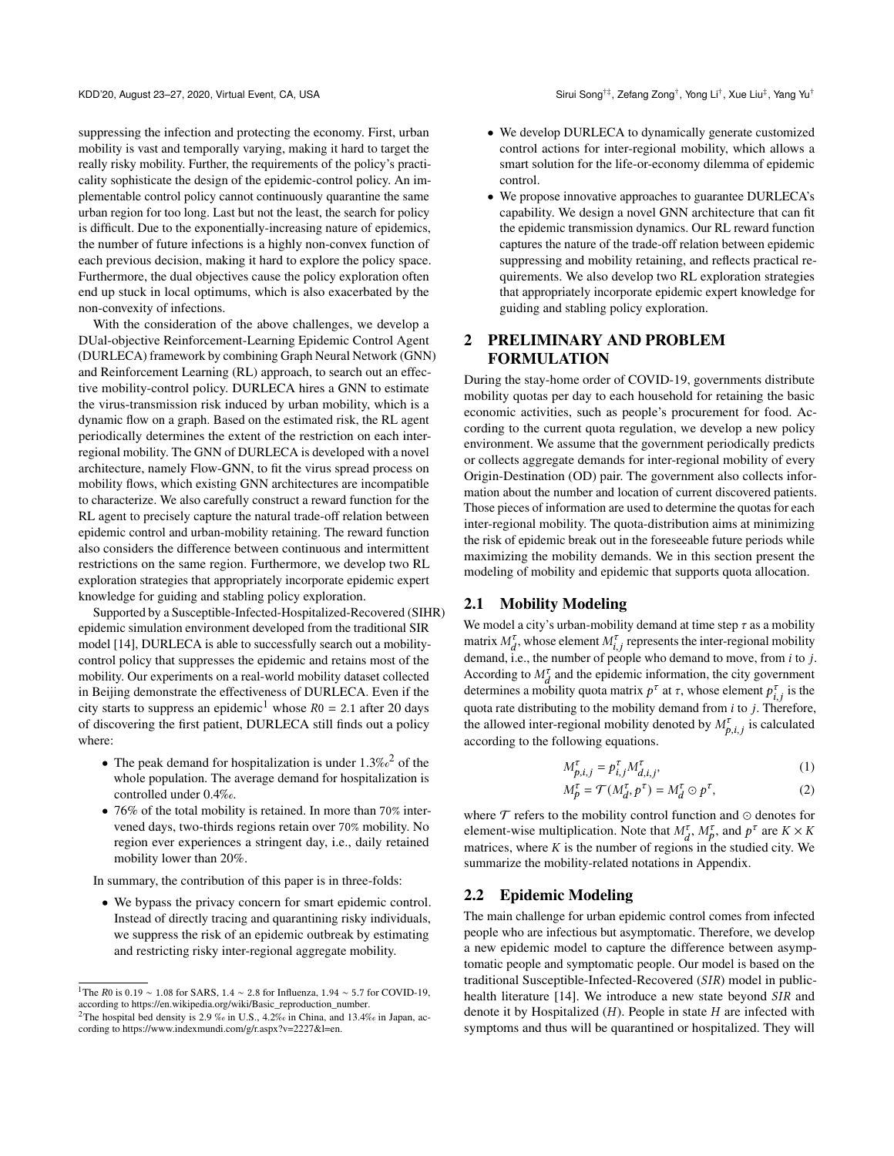suppressing the infection and protecting the economy. First, urban mobility is vast and temporally varying, making it hard to target the really risky mobility. Further, the requirements of the policy's practicality sophisticate the design of the epidemic-control policy. An implementable control policy cannot continuously quarantine the same urban region for too long. Last but not the least, the search for policy is difficult. Due to the exponentially-increasing nature of epidemics, the number of future infections is a highly non-convex function of each previous decision, making it hard to explore the policy space. Furthermore, the dual objectives cause the policy exploration often end up stuck in local optimums, which is also exacerbated by the non-convexity of infections.

With the consideration of the above challenges, we develop a DUal-objective Reinforcement-Learning Epidemic Control Agent (DURLECA) framework by combining Graph Neural Network (GNN) and Reinforcement Learning (RL) approach, to search out an effective mobility-control policy. DURLECA hires a GNN to estimate the virus-transmission risk induced by urban mobility, which is a dynamic flow on a graph. Based on the estimated risk, the RL agent periodically determines the extent of the restriction on each interregional mobility. The GNN of DURLECA is developed with a novel architecture, namely Flow-GNN, to fit the virus spread process on mobility flows, which existing GNN architectures are incompatible to characterize. We also carefully construct a reward function for the RL agent to precisely capture the natural trade-off relation between epidemic control and urban-mobility retaining. The reward function also considers the difference between continuous and intermittent restrictions on the same region. Furthermore, we develop two RL exploration strategies that appropriately incorporate epidemic expert knowledge for guiding and stabling policy exploration.

Supported by a Susceptible-Infected-Hospitalized-Recovered (SIHR) epidemic simulation environment developed from the traditional SIR model [\[14\]](#page-7-8), DURLECA is able to successfully search out a mobilitycontrol policy that suppresses the epidemic and retains most of the mobility. Our experiments on a real-world mobility dataset collected in Beijing demonstrate the effectiveness of DURLECA. Even if the city starts to suppress an epidemic<sup>[1](#page-1-0)</sup> whose  $R_0 = 2.1$  after 20 days of discovering the first patient, DURLECA still finds out a policy where:

- The peak demand for hospitalization is under  $1.3\%<sub>o</sub><sup>2</sup>$  $1.3\%<sub>o</sub><sup>2</sup>$  $1.3\%<sub>o</sub><sup>2</sup>$  of the whole population. The average demand for hospitalization is controlled under 0.4‰.
- 76% of the total mobility is retained. In more than 70% intervened days, two-thirds regions retain over 70% mobility. No region ever experiences a stringent day, i.e., daily retained mobility lower than 20%.

In summary, the contribution of this paper is in three-folds:

• We bypass the privacy concern for smart epidemic control. Instead of directly tracing and quarantining risky individuals, we suppress the risk of an epidemic outbreak by estimating and restricting risky inter-regional aggregate mobility.

- We develop DURLECA to dynamically generate customized control actions for inter-regional mobility, which allows a smart solution for the life-or-economy dilemma of epidemic control.
- We propose innovative approaches to guarantee DURLECA's capability. We design a novel GNN architecture that can fit the epidemic transmission dynamics. Our RL reward function captures the nature of the trade-off relation between epidemic suppressing and mobility retaining, and reflects practical requirements. We also develop two RL exploration strategies that appropriately incorporate epidemic expert knowledge for guiding and stabling policy exploration.

# 2 PRELIMINARY AND PROBLEM FORMULATION

During the stay-home order of COVID-19, governments distribute mobility quotas per day to each household for retaining the basic economic activities, such as people's procurement for food. According to the current quota regulation, we develop a new policy environment. We assume that the government periodically predicts or collects aggregate demands for inter-regional mobility of every Origin-Destination (OD) pair. The government also collects information about the number and location of current discovered patients. Those pieces of information are used to determine the quotas for each inter-regional mobility. The quota-distribution aims at minimizing the risk of epidemic break out in the foreseeable future periods while maximizing the mobility demands. We in this section present the modeling of mobility and epidemic that supports quota allocation.

#### 2.1 Mobility Modeling

We model a city's urban-mobility demand at time step  $\tau$  as a mobility matrix  $M_d^{\tau}$ , whose element  $M_{i,j}^{\tau}$  represents the inter-regional mobility demand, i.e., the number of people who demand to move, from  $i$  to  $j$ . According to  $M_d^{\tau}$  and the epidemic information, the city government determines a mobility quota matrix  $p^{\tau}$  at  $\tau$ , whose element  $p_{i,i}^{\tau}$  is the quota rate distributing to the mobility demand from  $i$  to  $j$ . Therefore, the allowed inter-regional mobility denoted by  $M_{p,i,j}^{\tau}$  is calculated according to the following equations.

$$
M_{p,i,j}^{\tau} = p_{i,j}^{\tau} M_{d,i,j}^{\tau},\tag{1}
$$

$$
M_p^{\tau} = \mathcal{T}(M_d^{\tau}, p^{\tau}) = M_d^{\tau} \odot p^{\tau}, \tag{2}
$$

where  $\mathcal T$  refers to the mobility control function and  $\odot$  denotes for element-wise multiplication. Note that  $M_d^{\tau}$ ,  $M_p^{\tau}$ , and  $p^{\tau}$  are  $K \times K$ matrices, where  $K$  is the number of regions in the studied city. We summarize the mobility-related notations in Appendix.

#### 2.2 Epidemic Modeling

The main challenge for urban epidemic control comes from infected people who are infectious but asymptomatic. Therefore, we develop a new epidemic model to capture the difference between asymptomatic people and symptomatic people. Our model is based on the traditional Susceptible-Infected-Recovered  $(SIR)$  model in public-health literature [\[14\]](#page-7-8). We introduce a new state beyond SIR and denote it by Hospitalized  $(H)$ . People in state  $H$  are infected with symptoms and thus will be quarantined or hospitalized. They will

<span id="page-1-0"></span><sup>&</sup>lt;sup>1</sup>The R0 is 0.19 ∼ 1.08 for SARS, 1.4 ∼ 2.8 for Influenza, 1.94 ∼ 5.7 for COVID-19, according to [https://en.wikipedia.org/wiki/Basic\\_reproduction\\_number.](https://en.wikipedia.org/wiki/Basic_reproduction_number)

<span id="page-1-1"></span><sup>&</sup>lt;sup>2</sup>The hospital bed density is 2.9 ‰ in U.S., 4.2‰ in China, and 13.4‰ in Japan, according to [https://www.indexmundi.com/g/r.aspx?v=2227&l=en.](https://www.indexmundi.com/g/r.aspx?v=2227&l=en)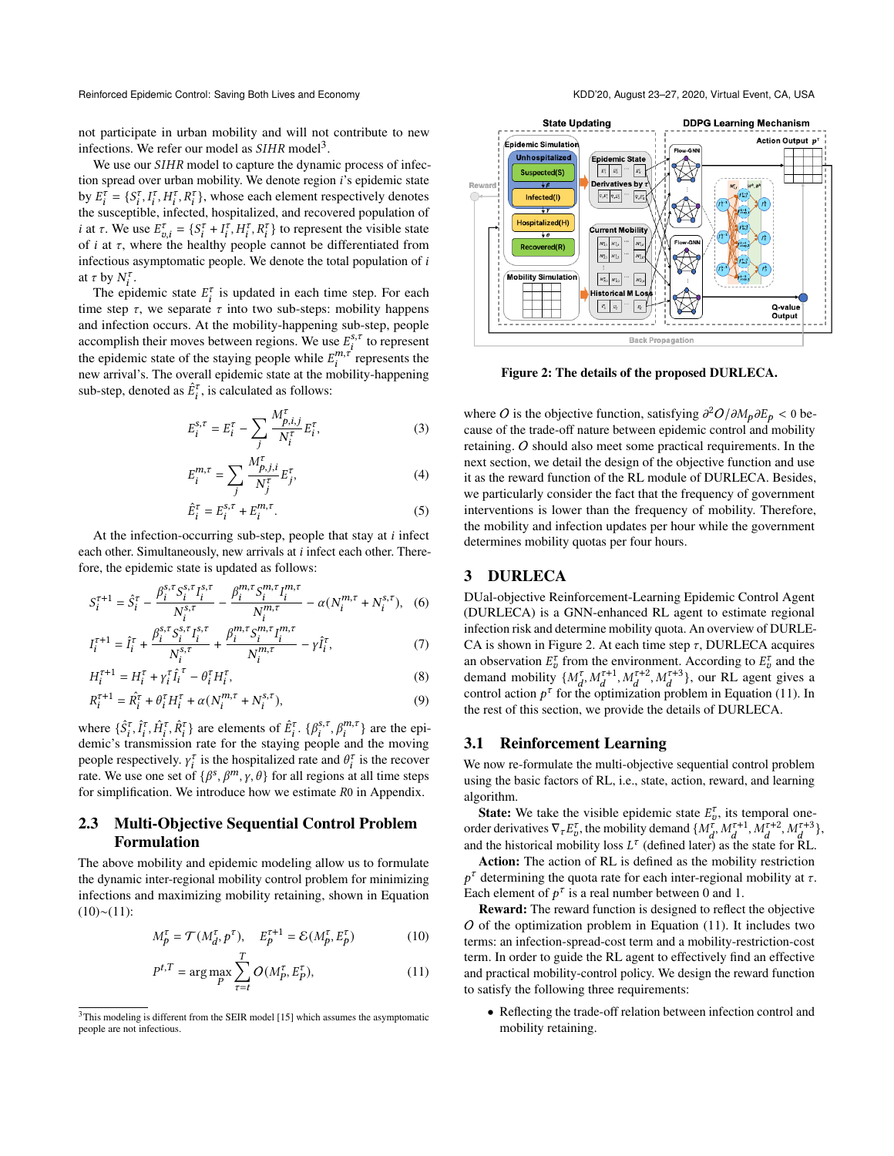not participate in urban mobility and will not contribute to new infections. We refer our model as  $SIHR$  model<sup>[3](#page-2-0)</sup>.

We use our *SIHR* model to capture the dynamic process of infection spread over urban mobility. We denote region *i*'s epidemic state by  $E_i^{\tau} = \{S_i^{\tau}, I_i^{\tau}, H_i^{\tau}, R_i^{\tau}\}\$ , whose each element respectively denotes the susceptible, infected, hospitalized, and recovered population of *i* at  $\tau$ . We use  $E_{v,i}^{\tau} = \{S_i^{\tau} + I_i^{\tau}, H_i^{\tau}, R_i^{\tau}\}\$  to represent the visible state of  $i$  at  $\tau$ , where the healthy people cannot be differentiated from infectious asymptomatic people. We denote the total population of  $i$ at  $\tau$  by  $N_i^{\tau}$ .

The epidemic state  $E_i^{\tau}$  is updated in each time step. For each time step  $\tau$ , we separate  $\tau$  into two sub-steps: mobility happens and infection occurs. At the mobility-happening sub-step, people accomplish their moves between regions. We use  $E_i^{s, \tau}$  to represent the epidemic state of the staying people while  $E_i^{m,\tau}$  represents the new arrival's. The overall epidemic state at the mobility-happening sub-step, denoted as  $\hat{E}_i^{\tau}$ , is calculated as follows:

$$
E_i^{s,\tau} = E_i^{\tau} - \sum_j \frac{M_{p,i,j}^{\tau}}{N_i^{\tau}} E_i^{\tau},
$$
 (3)

$$
E_i^{m,\tau} = \sum_i \frac{M_{p,j,i}^{\tau}}{N_j^{\tau}} E_j^{\tau},\tag{4}
$$

$$
\hat{E}_i^{\tau} = E_i^{s,\tau} + E_i^{m,\tau}.
$$
\n<sup>(5)</sup>

At the infection-occurring sub-step, people that stay at  $i$  infect each other. Simultaneously, new arrivals at  $i$  infect each other. Therefore, the epidemic state is updated as follows:

$$
S_i^{\tau+1} = \hat{S}_i^{\tau} - \frac{\beta_i^{s,\tau} S_i^{s,\tau} I_i^{s,\tau}}{N_i^{s,\tau}} - \frac{\beta_i^{m,\tau} S_i^{m,\tau} I_i^{m,\tau}}{N_i^{m,\tau}} - \alpha (N_i^{m,\tau} + N_i^{s,\tau}), \quad (6)
$$

$$
I_i^{\tau+1} = \hat{I}_i^{\tau} + \frac{\beta_i^{s,\tau} S_i^{s,\tau} I_i^{s,\tau}}{N_i^{s,\tau}} + \frac{\beta_i^{m,\tau} S_i^{m,\tau} I_i^{m,\tau}}{N_i^{m,\tau}} - \gamma \hat{I}_i^{\tau},\tag{7}
$$

$$
H_i^{\tau+1} = H_i^{\tau} + \gamma_i^{\tau} \hat{I}_i^{\tau} - \theta_i^{\tau} H_i^{\tau},\tag{8}
$$

$$
R_i^{\tau+1} = \hat{R}_i^{\tau} + \theta_i^{\tau} H_i^{\tau} + \alpha (N_i^{m,\tau} + N_i^{s,\tau}), \tag{9}
$$

where  $\{\hat{S}_i^{\tau}, \hat{I}_i^{\tau}, \hat{R}_i^{\tau}\}$  are elements of  $\hat{E}_i^{\tau}$ .  $\{\beta_i^{s,\tau}, \beta_i^{m,\tau}\}$  are the epidemic's transmission rate for the staying people and the moving people respectively.  $\gamma_i^{\tau}$  is the hospitalized rate and  $\theta_i^{\tau}$  is the recover rate. We use one set of  $\{\beta^s, \beta^m, \gamma, \theta\}$  for all regions at all time steps for simplification. We introduce how we estimate  $R_0$  in Appendix.

## 2.3 Multi-Objective Sequential Control Problem Formulation

The above mobility and epidemic modeling allow us to formulate the dynamic inter-regional mobility control problem for minimizing infections and maximizing mobility retaining, shown in Equation  $(10)~(11)$  $(10)~(11)$  $(10)~(11)$ :

$$
M_p^{\tau} = \mathcal{T}(M_d^{\tau}, p^{\tau}), \quad E_p^{\tau+1} = \mathcal{E}(M_p^{\tau}, E_p^{\tau})
$$
(10)

$$
P^{t,T} = \arg\max_{P} \sum_{\tau=t}^{I} O(M_P^{\tau}, E_P^{\tau}),\tag{11}
$$

<span id="page-2-3"></span>

Figure 2: The details of the proposed DURLECA.

where O is the objective function, satisfying  $\partial^2 O / \partial M_p \partial E_p < 0$  because of the trade-off nature between epidemic control and mobility retaining. O should also meet some practical requirements. In the next section, we detail the design of the objective function and use it as the reward function of the RL module of DURLECA. Besides, we particularly consider the fact that the frequency of government interventions is lower than the frequency of mobility. Therefore, the mobility and infection updates per hour while the government determines mobility quotas per four hours.

# 3 DURLECA

DUal-objective Reinforcement-Learning Epidemic Control Agent (DURLECA) is a GNN-enhanced RL agent to estimate regional infection risk and determine mobility quota. An overview of DURLE-CA is shown in Figure [2.](#page-2-3) At each time step  $\tau$ , DURLECA acquires an observation  $E_{\nu}^{\tau}$  from the environment. According to  $E_{\nu}^{\tau}$  and the demand mobility  $\{M_d^{\tau}, M_d^{\tau+1}, M_d^{\tau+2}, M_d^{\tau+3}\}\$ , our RL agent gives a control action  $p^{\tau}$  for the optimization problem in Equation [\(11\)](#page-2-2). In the rest of this section, we provide the details of DURLECA.

#### 3.1 Reinforcement Learning

We now re-formulate the multi-objective sequential control problem using the basic factors of RL, i.e., state, action, reward, and learning algorithm.

**State:** We take the visible epidemic state  $E_{v}^{\tau}$ , its temporal oneorder derivatives  $\nabla_{\tau} E_{v}^{\tau}$ , the mobility demand  $\{M_{d}^{\tau}, M_{d}^{\tau+1}, M_{d}^{\tau+2}, M_{d}^{\tau+3}\},$ and the historical mobility loss  $L^{\tau}$  (defined later) as the state for RL.

Action: The action of RL is defined as the mobility restriction  $p^{\tau}$  determining the quota rate for each inter-regional mobility at  $\tau$ . Each element of  $p^{\tau}$  is a real number between 0 and 1.

<span id="page-2-2"></span><span id="page-2-1"></span>Reward: The reward function is designed to reflect the objective  $O$  of the optimization problem in Equation [\(11\)](#page-2-2). It includes two terms: an infection-spread-cost term and a mobility-restriction-cost term. In order to guide the RL agent to effectively find an effective and practical mobility-control policy. We design the reward function to satisfy the following three requirements:

• Reflecting the trade-off relation between infection control and mobility retaining.

<span id="page-2-0"></span><sup>&</sup>lt;sup>3</sup>This modeling is different from the SEIR model [\[15\]](#page-7-9) which assumes the asymptomatic people are not infectious.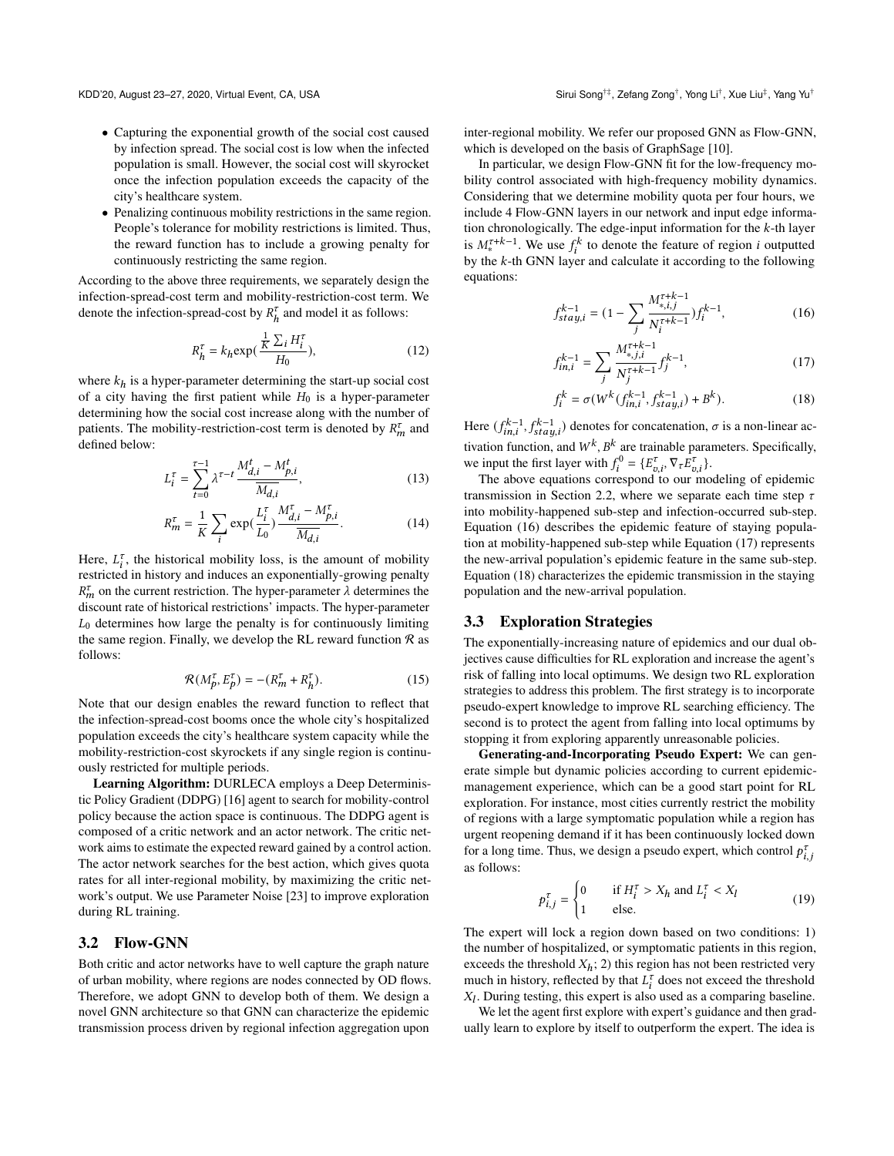- Capturing the exponential growth of the social cost caused by infection spread. The social cost is low when the infected population is small. However, the social cost will skyrocket once the infection population exceeds the capacity of the city's healthcare system.
- Penalizing continuous mobility restrictions in the same region. People's tolerance for mobility restrictions is limited. Thus, the reward function has to include a growing penalty for continuously restricting the same region.

According to the above three requirements, we separately design the infection-spread-cost term and mobility-restriction-cost term. We denote the infection-spread-cost by  $R_h^{\tau}$  and model it as follows:

$$
R_h^{\tau} = k_h \exp\left(\frac{\frac{1}{K} \sum_i H_i^{\tau}}{H_0}\right),\tag{12}
$$

where  $k_h$  is a hyper-parameter determining the start-up social cost of a city having the first patient while  $H_0$  is a hyper-parameter determining how the social cost increase along with the number of patients. The mobility-restriction-cost term is denoted by  $R_m^{\tau}$  and defined below:

$$
L_i^{\tau} = \sum_{t=0}^{\tau-1} \lambda^{\tau-t} \frac{M_{d,i}^t - M_{p,i}^t}{\overline{M_{d,i}}},
$$
\n(13)

$$
R_m^{\tau} = \frac{1}{K} \sum_{i} \exp(\frac{L_i^{\tau}}{L_0}) \frac{M_{d,i}^{\tau} - M_{p,i}^{\tau}}{M_{d,i}}.
$$
 (14)

Here,  $L_i^{\tau}$ , the historical mobility loss, is the amount of mobility restricted in history and induces an exponentially-growing penalty  $R_m^{\tau}$  on the current restriction. The hyper-parameter  $\lambda$  determines the discount rate of historical restrictions' impacts. The hyper-parameter  $L_0$  determines how large the penalty is for continuously limiting the same region. Finally, we develop the RL reward function  $\Re$  as follows:

$$
\mathcal{R}(M_p^{\tau}, E_p^{\tau}) = -(R_m^{\tau} + R_h^{\tau}).
$$
\n(15)

Note that our design enables the reward function to reflect that the infection-spread-cost booms once the whole city's hospitalized population exceeds the city's healthcare system capacity while the mobility-restriction-cost skyrockets if any single region is continuously restricted for multiple periods.

Learning Algorithm: DURLECA employs a Deep Deterministic Policy Gradient (DDPG) [\[16\]](#page-7-10) agent to search for mobility-control policy because the action space is continuous. The DDPG agent is composed of a critic network and an actor network. The critic network aims to estimate the expected reward gained by a control action. The actor network searches for the best action, which gives quota rates for all inter-regional mobility, by maximizing the critic network's output. We use Parameter Noise [\[23\]](#page-7-11) to improve exploration during RL training.

#### 3.2 Flow-GNN

Both critic and actor networks have to well capture the graph nature of urban mobility, where regions are nodes connected by OD flows. Therefore, we adopt GNN to develop both of them. We design a novel GNN architecture so that GNN can characterize the epidemic transmission process driven by regional infection aggregation upon inter-regional mobility. We refer our proposed GNN as Flow-GNN, which is developed on the basis of GraphSage [\[10\]](#page-7-12).

In particular, we design Flow-GNN fit for the low-frequency mobility control associated with high-frequency mobility dynamics. Considering that we determine mobility quota per four hours, we include 4 Flow-GNN layers in our network and input edge information chronologically. The edge-input information for the  $k$ -th layer is  $M_*^{\tau+k-1}$ . We use  $f_i^k$  to denote the feature of region *i* outputted by the  $k$ -th GNN layer and calculate it according to the following equations:

<span id="page-3-0"></span>
$$
f_{stay,i}^{k-1} = (1 - \sum_{j} \frac{M_{*,i,j}^{\tau+k-1}}{N_i^{\tau+k-1}}) f_i^{k-1},
$$
\n(16)

<span id="page-3-1"></span>
$$
f_{in,i}^{k-1} = \sum_{j} \frac{M_{*,j,i}^{\tau+k-1}}{N_j^{\tau+k-1}} f_j^{k-1},\tag{17}
$$

<span id="page-3-2"></span>
$$
f_i^k = \sigma(W^k(f_{in,i}^{k-1}, f_{stay,i}^{k-1}) + B^k).
$$
 (18)

Here  $(f_{\text{ini}}^{k-1}, f_{\text{staul}}^{k-1})$  denotes for concatenation,  $\sigma$  is a non-linear activation function, and  $W^k$ ,  $B^k$  are trainable parameters. Specifically, we input the first layer with  $f_i^0 = \{E_{i,i}^{\tau}, \nabla_{\tau} E_{i,i}^{\tau}\}.$ 

The above equations correspond to our modeling of epidemic transmission in Section 2.2, where we separate each time step  $\tau$ into mobility-happened sub-step and infection-occurred sub-step. Equation [\(16\)](#page-3-0) describes the epidemic feature of staying population at mobility-happened sub-step while Equation [\(17\)](#page-3-1) represents the new-arrival population's epidemic feature in the same sub-step. Equation [\(18\)](#page-3-2) characterizes the epidemic transmission in the staying population and the new-arrival population.

#### 3.3 Exploration Strategies

The exponentially-increasing nature of epidemics and our dual objectives cause difficulties for RL exploration and increase the agent's risk of falling into local optimums. We design two RL exploration strategies to address this problem. The first strategy is to incorporate pseudo-expert knowledge to improve RL searching efficiency. The second is to protect the agent from falling into local optimums by stopping it from exploring apparently unreasonable policies.

Generating-and-Incorporating Pseudo Expert: We can generate simple but dynamic policies according to current epidemicmanagement experience, which can be a good start point for RL exploration. For instance, most cities currently restrict the mobility of regions with a large symptomatic population while a region has urgent reopening demand if it has been continuously locked down for a long time. Thus, we design a pseudo expert, which control  $p_{i,j}^{\tau}$ as follows:

<span id="page-3-3"></span>
$$
p_{i,j}^{\tau} = \begin{cases} 0 & \text{if } H_i^{\tau} > X_h \text{ and } L_i^{\tau} < X_l \\ 1 & \text{else.} \end{cases}
$$
 (19)

The expert will lock a region down based on two conditions: 1) the number of hospitalized, or symptomatic patients in this region, exceeds the threshold  $X_h$ ; 2) this region has not been restricted very much in history, reflected by that  $L_i^{\tau}$  does not exceed the threshold  $X_l$ . During testing, this expert is also used as a comparing baseline.

We let the agent first explore with expert's guidance and then gradually learn to explore by itself to outperform the expert. The idea is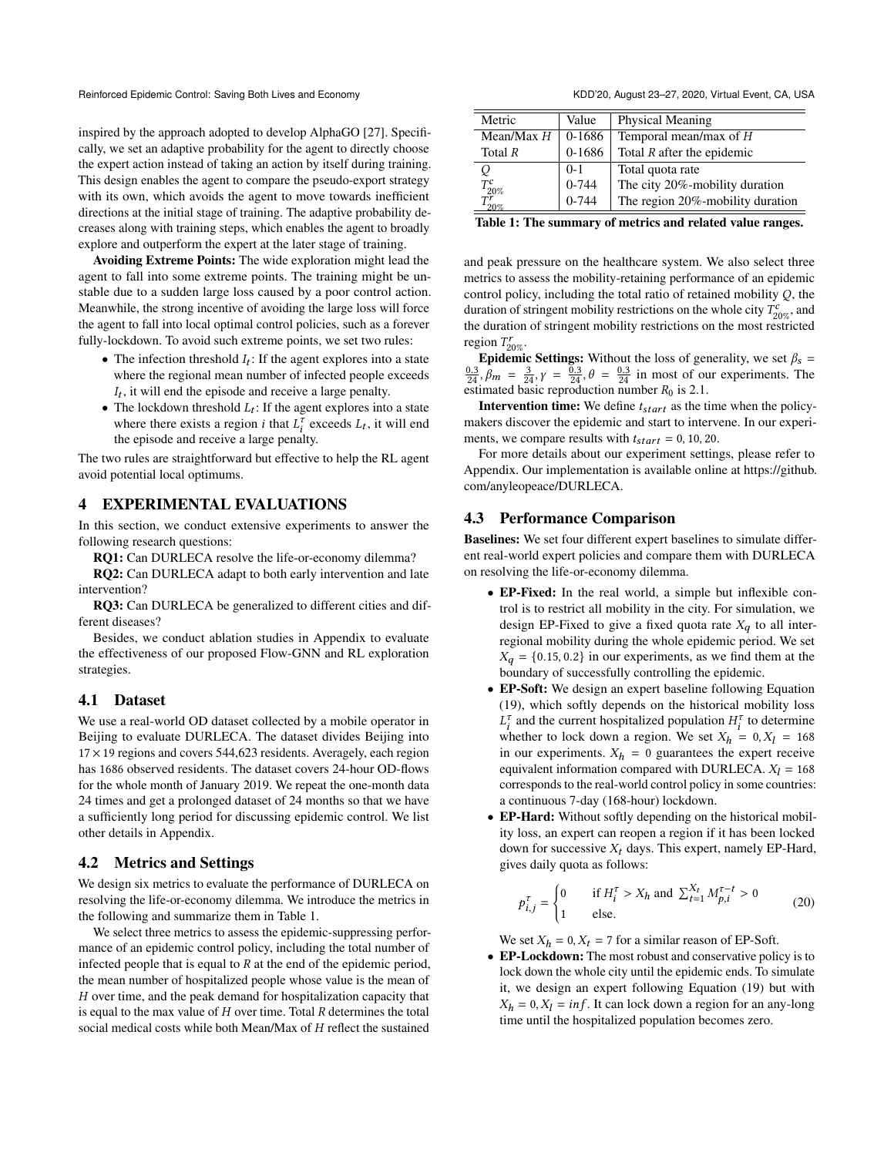inspired by the approach adopted to develop AlphaGO [\[27\]](#page-7-13). Specifically, we set an adaptive probability for the agent to directly choose the expert action instead of taking an action by itself during training. This design enables the agent to compare the pseudo-export strategy with its own, which avoids the agent to move towards inefficient directions at the initial stage of training. The adaptive probability decreases along with training steps, which enables the agent to broadly explore and outperform the expert at the later stage of training.

Avoiding Extreme Points: The wide exploration might lead the agent to fall into some extreme points. The training might be unstable due to a sudden large loss caused by a poor control action. Meanwhile, the strong incentive of avoiding the large loss will force the agent to fall into local optimal control policies, such as a forever fully-lockdown. To avoid such extreme points, we set two rules:

- The infection threshold  $I_t$ : If the agent explores into a state where the regional mean number of infected people exceeds  $I_t$ , it will end the episode and receive a large penalty.
- The lockdown threshold  $L_t$ : If the agent explores into a state where there exists a region *i* that  $L_i^{\tau}$  exceeds  $L_t$ , it will end the episode and receive a large penalty.

The two rules are straightforward but effective to help the RL agent avoid potential local optimums.

# 4 EXPERIMENTAL EVALUATIONS

In this section, we conduct extensive experiments to answer the following research questions:

RQ1: Can DURLECA resolve the life-or-economy dilemma? RQ2: Can DURLECA adapt to both early intervention and late intervention?

RQ3: Can DURLECA be generalized to different cities and different diseases?

Besides, we conduct ablation studies in Appendix to evaluate the effectiveness of our proposed Flow-GNN and RL exploration strategies.

#### 4.1 Dataset

We use a real-world OD dataset collected by a mobile operator in Beijing to evaluate DURLECA. The dataset divides Beijing into  $17 \times 19$  regions and covers 544,623 residents. Averagely, each region has 1686 observed residents. The dataset covers 24-hour OD-flows for the whole month of January 2019. We repeat the one-month data 24 times and get a prolonged dataset of 24 months so that we have a sufficiently long period for discussing epidemic control. We list other details in Appendix.

# 4.2 Metrics and Settings

We design six metrics to evaluate the performance of DURLECA on resolving the life-or-economy dilemma. We introduce the metrics in the following and summarize them in Table [1.](#page-4-0)

We select three metrics to assess the epidemic-suppressing performance of an epidemic control policy, including the total number of infected people that is equal to  $R$  at the end of the epidemic period, the mean number of hospitalized people whose value is the mean of  $H$  over time, and the peak demand for hospitalization capacity that is equal to the max value of  $H$  over time. Total  $R$  determines the total social medical costs while both Mean/Max of  $H$  reflect the sustained

<span id="page-4-0"></span>

| Metric       | Value      | Physical Meaning                 |
|--------------|------------|----------------------------------|
| Mean/Max $H$ | $0 - 1686$ | Temporal mean/max of $H$         |
| Total $R$    | 0-1686     | Total $R$ after the epidemic     |
| Q            | $0-1$      | Total quota rate                 |
| $T_{20\%}^c$ | $0 - 744$  | The city 20%-mobility duration   |
| 20%          | $0 - 744$  | The region 20%-mobility duration |

Table 1: The summary of metrics and related value ranges.

and peak pressure on the healthcare system. We also select three metrics to assess the mobility-retaining performance of an epidemic control policy, including the total ratio of retained mobility  $Q$ , the duration of stringent mobility restrictions on the whole city  $T_{20\%}^c$ , and the duration of stringent mobility restrictions on the most restricted region  $T_{20\%}^r$ .

**Epidemic Settings:** Without the loss of generality, we set  $\beta_s$  =  $\frac{0.3}{24}$ ,  $\beta_m = \frac{3}{24}$ ,  $\gamma = \frac{0.3}{24}$ ,  $\theta = \frac{0.3}{24}$  in most of our experiments. The estimated basic reproduction number  $R_0$  is 2.1.

**Intervention time:** We define  $t_{start}$  as the time when the policymakers discover the epidemic and start to intervene. In our experiments, we compare results with  $t_{start} = 0, 10, 20$ .

For more details about our experiment settings, please refer to Appendix. Our implementation is available online at [https://github.](https://github.com/anyleopeace/DURLECA) [com/anyleopeace/DURLECA.](https://github.com/anyleopeace/DURLECA)

## 4.3 Performance Comparison

Baselines: We set four different expert baselines to simulate different real-world expert policies and compare them with DURLECA on resolving the life-or-economy dilemma.

- EP-Fixed: In the real world, a simple but inflexible control is to restrict all mobility in the city. For simulation, we design EP-Fixed to give a fixed quota rate  $X_q$  to all interregional mobility during the whole epidemic period. We set  $X_q = \{0.15, 0.2\}$  in our experiments, as we find them at the boundary of successfully controlling the epidemic.
- EP-Soft: We design an expert baseline following Equation [\(19\)](#page-3-3), which softly depends on the historical mobility loss  $L_i^{\tau}$  and the current hospitalized population  $H_i^{\tau}$  to determine whether to lock down a region. We set  $X_h = 0, X_l = 168$ in our experiments.  $X_h = 0$  guarantees the expert receive equivalent information compared with DURLECA.  $X_l = 168$ corresponds to the real-world control policy in some countries: a continuous 7-day (168-hour) lockdown.
- EP-Hard: Without softly depending on the historical mobility loss, an expert can reopen a region if it has been locked down for successive  $X_t$  days. This expert, namely EP-Hard, gives daily quota as follows:

$$
p_{i,j}^{\tau} = \begin{cases} 0 & \text{if } H_i^{\tau} > X_h \text{ and } \sum_{t=1}^{X_t} M_{p,i}^{\tau-t} > 0 \\ 1 & \text{else.} \end{cases} \tag{20}
$$

We set  $X_h = 0, X_t = 7$  for a similar reason of EP-Soft.

• EP-Lockdown: The most robust and conservative policy is to lock down the whole city until the epidemic ends. To simulate it, we design an expert following Equation [\(19\)](#page-3-3) but with  $X_h = 0, X_l = inf$ . It can lock down a region for an any-long time until the hospitalized population becomes zero.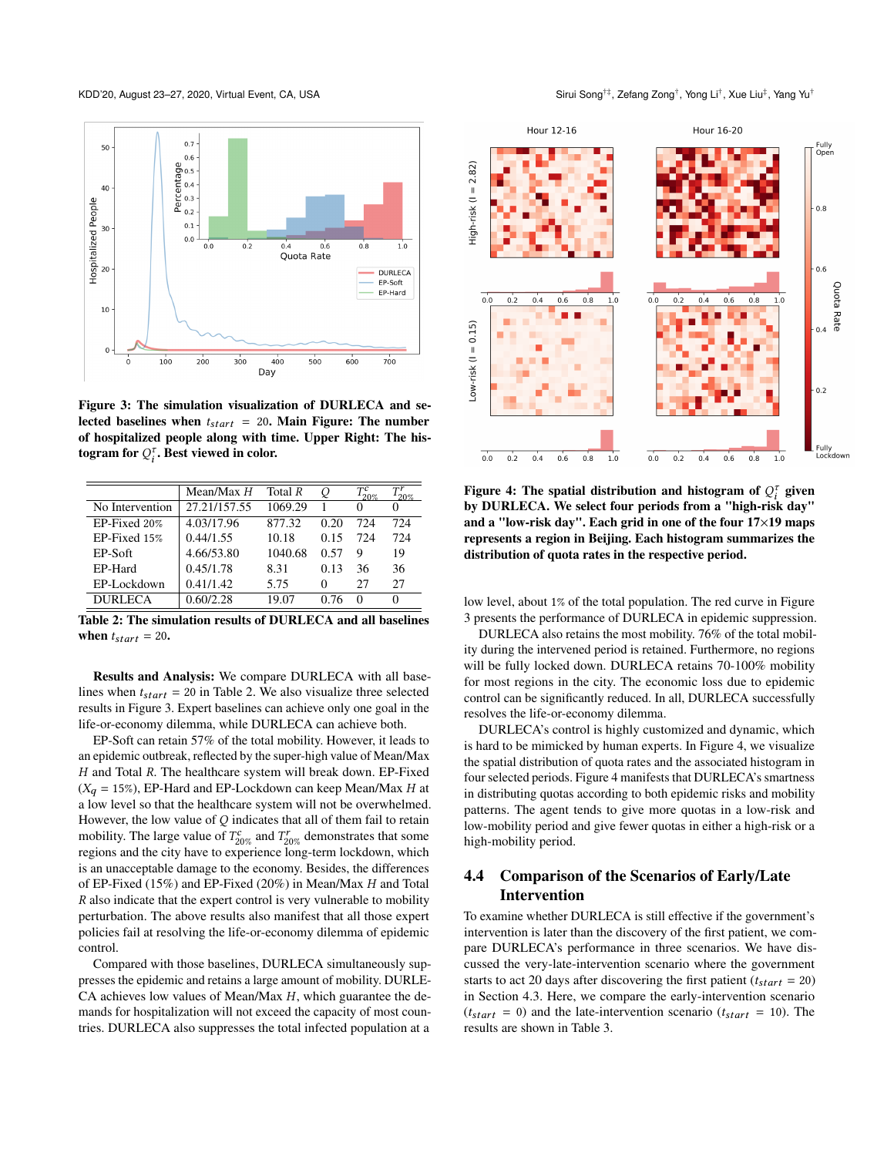KDD'20, August 23–27, 2020, Virtual Event, CA, USA

<span id="page-5-1"></span>

Figure 3: The simulation visualization of DURLECA and selected baselines when  $t_{start} = 20$ . Main Figure: The number of hospitalized people along with time. Upper Right: The histogram for  $Q_i^{\tau}$ . Best viewed in color.

<span id="page-5-0"></span>

|                 | Mean/Max H   | Total R | O    | 20%          |     |
|-----------------|--------------|---------|------|--------------|-----|
| No Intervention | 27.21/157.55 | 1069.29 |      |              |     |
| EP-Fixed 20%    | 4.03/17.96   | 877.32  | 0.20 | 724          | 724 |
| EP-Fixed 15%    | 0.44/1.55    | 10.18   | 0.15 | 724          | 724 |
| EP-Soft         | 4.66/53.80   | 1040.68 | 0.57 | 9            | 19  |
| EP-Hard         | 0.45/1.78    | 8.31    | 0.13 | 36           | 36  |
| EP-Lockdown     | 0.41/1.42    | 5.75    | 0    | 27           | 27  |
| <b>DURLECA</b>  | 0.60/2.28    | 19.07   | 0.76 | $\mathbf{0}$ |     |

Table 2: The simulation results of DURLECA and all baselines when  $t_{start} = 20$ .

Results and Analysis: We compare DURLECA with all baselines when  $t_{start} = 20$  in Table [2.](#page-5-0) We also visualize three selected results in Figure [3.](#page-5-1) Expert baselines can achieve only one goal in the life-or-economy dilemma, while DURLECA can achieve both.

EP-Soft can retain 57% of the total mobility. However, it leads to an epidemic outbreak, reflected by the super-high value of Mean/Max  $H$  and Total  $R$ . The healthcare system will break down. EP-Fixed  $(X_q = 15\%)$ , EP-Hard and EP-Lockdown can keep Mean/Max *H* at a low level so that the healthcare system will not be overwhelmed. However, the low value of  $Q$  indicates that all of them fail to retain mobility. The large value of  $T_{20\%}^c$  and  $T_{20\%}^r$  demonstrates that some regions and the city have to experience long-term lockdown, which is an unacceptable damage to the economy. Besides, the differences of EP-Fixed (15%) and EP-Fixed (20%) in Mean/Max  $H$  and Total  $R$  also indicate that the expert control is very vulnerable to mobility perturbation. The above results also manifest that all those expert policies fail at resolving the life-or-economy dilemma of epidemic control.

Compared with those baselines, DURLECA simultaneously suppresses the epidemic and retains a large amount of mobility. DURLE-CA achieves low values of Mean/Max  $H$ , which guarantee the demands for hospitalization will not exceed the capacity of most countries. DURLECA also suppresses the total infected population at a

, Yong Li† , Xue Liu‡ , Yang Yu†

<span id="page-5-2"></span>

Figure 4: The spatial distribution and histogram of  $Q_i^{\tau}$  given by DURLECA. We select four periods from a "high-risk day" and a "low-risk day". Each grid in one of the four 17×19 maps represents a region in Beijing. Each histogram summarizes the distribution of quota rates in the respective period.

low level, about 1% of the total population. The red curve in Figure [3](#page-5-1) presents the performance of DURLECA in epidemic suppression.

DURLECA also retains the most mobility. 76% of the total mobility during the intervened period is retained. Furthermore, no regions will be fully locked down. DURLECA retains 70-100% mobility for most regions in the city. The economic loss due to epidemic control can be significantly reduced. In all, DURLECA successfully resolves the life-or-economy dilemma.

DURLECA's control is highly customized and dynamic, which is hard to be mimicked by human experts. In Figure [4,](#page-5-2) we visualize the spatial distribution of quota rates and the associated histogram in four selected periods. Figure [4](#page-5-2) manifests that DURLECA's smartness in distributing quotas according to both epidemic risks and mobility patterns. The agent tends to give more quotas in a low-risk and low-mobility period and give fewer quotas in either a high-risk or a high-mobility period.

# 4.4 Comparison of the Scenarios of Early/Late Intervention

To examine whether DURLECA is still effective if the government's intervention is later than the discovery of the first patient, we compare DURLECA's performance in three scenarios. We have discussed the very-late-intervention scenario where the government starts to act 20 days after discovering the first patient ( $t_{start} = 20$ ) in Section 4.3. Here, we compare the early-intervention scenario  $(t_{start} = 0)$  and the late-intervention scenario  $(t_{start} = 10)$ . The results are shown in Table [3.](#page-6-0)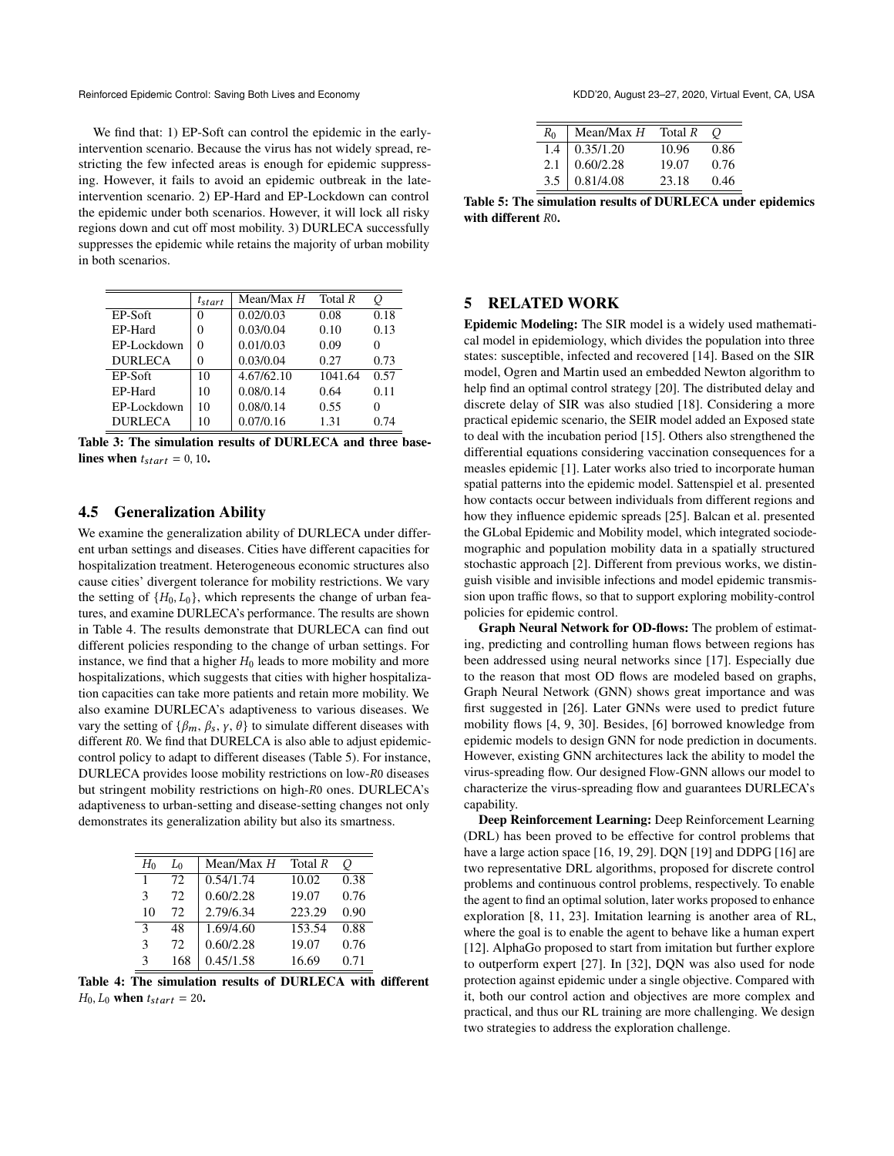We find that: 1) EP-Soft can control the epidemic in the earlyintervention scenario. Because the virus has not widely spread, restricting the few infected areas is enough for epidemic suppressing. However, it fails to avoid an epidemic outbreak in the lateintervention scenario. 2) EP-Hard and EP-Lockdown can control the epidemic under both scenarios. However, it will lock all risky regions down and cut off most mobility. 3) DURLECA successfully suppresses the epidemic while retains the majority of urban mobility in both scenarios.

<span id="page-6-0"></span>

|                | $t_{start}$ | Mean/Max H | Total $R$ | O    |
|----------------|-------------|------------|-----------|------|
| EP-Soft        | 0           | 0.02/0.03  | 0.08      | 0.18 |
| EP-Hard        | 0           | 0.03/0.04  | 0.10      | 0.13 |
| EP-Lockdown    | 0           | 0.01/0.03  | 0.09      | 0    |
| <b>DURLECA</b> | 0           | 0.03/0.04  | 0.27      | 0.73 |
| EP-Soft        | 10          | 4.67/62.10 | 1041.64   | 0.57 |
| EP-Hard        | 10          | 0.08/0.14  | 0.64      | 0.11 |
| EP-Lockdown    | 10          | 0.08/0.14  | 0.55      | 0    |
| <b>DURLECA</b> | 10          | 0.07/0.16  | 1.31      | 0.74 |

Table 3: The simulation results of DURLECA and three baselines when  $t_{start} = 0, 10$ .

## 4.5 Generalization Ability

We examine the generalization ability of DURLECA under different urban settings and diseases. Cities have different capacities for hospitalization treatment. Heterogeneous economic structures also cause cities' divergent tolerance for mobility restrictions. We vary the setting of  $\{H_0, L_0\}$ , which represents the change of urban features, and examine DURLECA's performance. The results are shown in Table [4.](#page-6-1) The results demonstrate that DURLECA can find out different policies responding to the change of urban settings. For instance, we find that a higher  $H_0$  leads to more mobility and more hospitalizations, which suggests that cities with higher hospitalization capacities can take more patients and retain more mobility. We also examine DURLECA's adaptiveness to various diseases. We vary the setting of  $\{\beta_m, \beta_s, \gamma, \theta\}$  to simulate different diseases with different  $R$ 0. We find that DURELCA is also able to adjust epidemiccontrol policy to adapt to different diseases (Table [5\)](#page-6-2). For instance, DURLECA provides loose mobility restrictions on low-R0 diseases but stringent mobility restrictions on high-R0 ones. DURLECA's adaptiveness to urban-setting and disease-setting changes not only demonstrates its generalization ability but also its smartness.

<span id="page-6-1"></span>

| H٥            | L <sub>0</sub> | Mean/Max $H$ | Total $R$ | О    |
|---------------|----------------|--------------|-----------|------|
|               | 72             | 0.54/1.74    | 10.02     | 0.38 |
| 3             | 72             | 0.60/2.28    | 19.07     | 0.76 |
| 10            | 72             | 2.79/6.34    | 223.29    | 0.90 |
| $\mathcal{R}$ | 48             | 1.69/4.60    | 153.54    | 0.88 |
| 3             | 72             | 0.60/2.28    | 19.07     | 0.76 |
| 3             | 168            | 0.45/1.58    | 16.69     | 0.71 |

Table 4: The simulation results of DURLECA with different  $H_0$ ,  $L_0$  when  $t_{start} = 20$ .

<span id="page-6-2"></span>

| $R_0$ | Mean/Max $H$ | Total R |      |
|-------|--------------|---------|------|
| 1.4   | 0.35/1.20    | 10.96   | 0.86 |
| 2.1   | 0.60/2.28    | 19.07   | 0.76 |
| 3.5   | 0.81/4.08    | 23.18   | 0.46 |

Table 5: The simulation results of DURLECA under epidemics with different  $R0$ .

#### 5 RELATED WORK

Epidemic Modeling: The SIR model is a widely used mathematical model in epidemiology, which divides the population into three states: susceptible, infected and recovered [\[14\]](#page-7-8). Based on the SIR model, Ogren and Martin used an embedded Newton algorithm to help find an optimal control strategy [\[20\]](#page-7-14). The distributed delay and discrete delay of SIR was also studied [\[18\]](#page-7-15). Considering a more practical epidemic scenario, the SEIR model added an Exposed state to deal with the incubation period [\[15\]](#page-7-9). Others also strengthened the differential equations considering vaccination consequences for a measles epidemic [\[1\]](#page-7-16). Later works also tried to incorporate human spatial patterns into the epidemic model. Sattenspiel et al. presented how contacts occur between individuals from different regions and how they influence epidemic spreads [\[25\]](#page-7-17). Balcan et al. presented the GLobal Epidemic and Mobility model, which integrated sociodemographic and population mobility data in a spatially structured stochastic approach [\[2\]](#page-7-0). Different from previous works, we distinguish visible and invisible infections and model epidemic transmission upon traffic flows, so that to support exploring mobility-control policies for epidemic control.

Graph Neural Network for OD-flows: The problem of estimating, predicting and controlling human flows between regions has been addressed using neural networks since [\[17\]](#page-7-18). Especially due to the reason that most OD flows are modeled based on graphs, Graph Neural Network (GNN) shows great importance and was first suggested in [\[26\]](#page-7-19). Later GNNs were used to predict future mobility flows [\[4,](#page-7-20) [9,](#page-7-21) [30\]](#page-7-22). Besides, [\[6\]](#page-7-23) borrowed knowledge from epidemic models to design GNN for node prediction in documents. However, existing GNN architectures lack the ability to model the virus-spreading flow. Our designed Flow-GNN allows our model to characterize the virus-spreading flow and guarantees DURLECA's capability.

Deep Reinforcement Learning: Deep Reinforcement Learning (DRL) has been proved to be effective for control problems that have a large action space [\[16,](#page-7-10) [19,](#page-7-24) [29\]](#page-7-25). DQN [\[19\]](#page-7-24) and DDPG [\[16\]](#page-7-10) are two representative DRL algorithms, proposed for discrete control problems and continuous control problems, respectively. To enable the agent to find an optimal solution, later works proposed to enhance exploration [\[8,](#page-7-26) [11,](#page-7-27) [23\]](#page-7-11). Imitation learning is another area of RL, where the goal is to enable the agent to behave like a human expert [\[12\]](#page-7-28). AlphaGo proposed to start from imitation but further explore to outperform expert [\[27\]](#page-7-13). In [\[32\]](#page-7-29), DQN was also used for node protection against epidemic under a single objective. Compared with it, both our control action and objectives are more complex and practical, and thus our RL training are more challenging. We design two strategies to address the exploration challenge.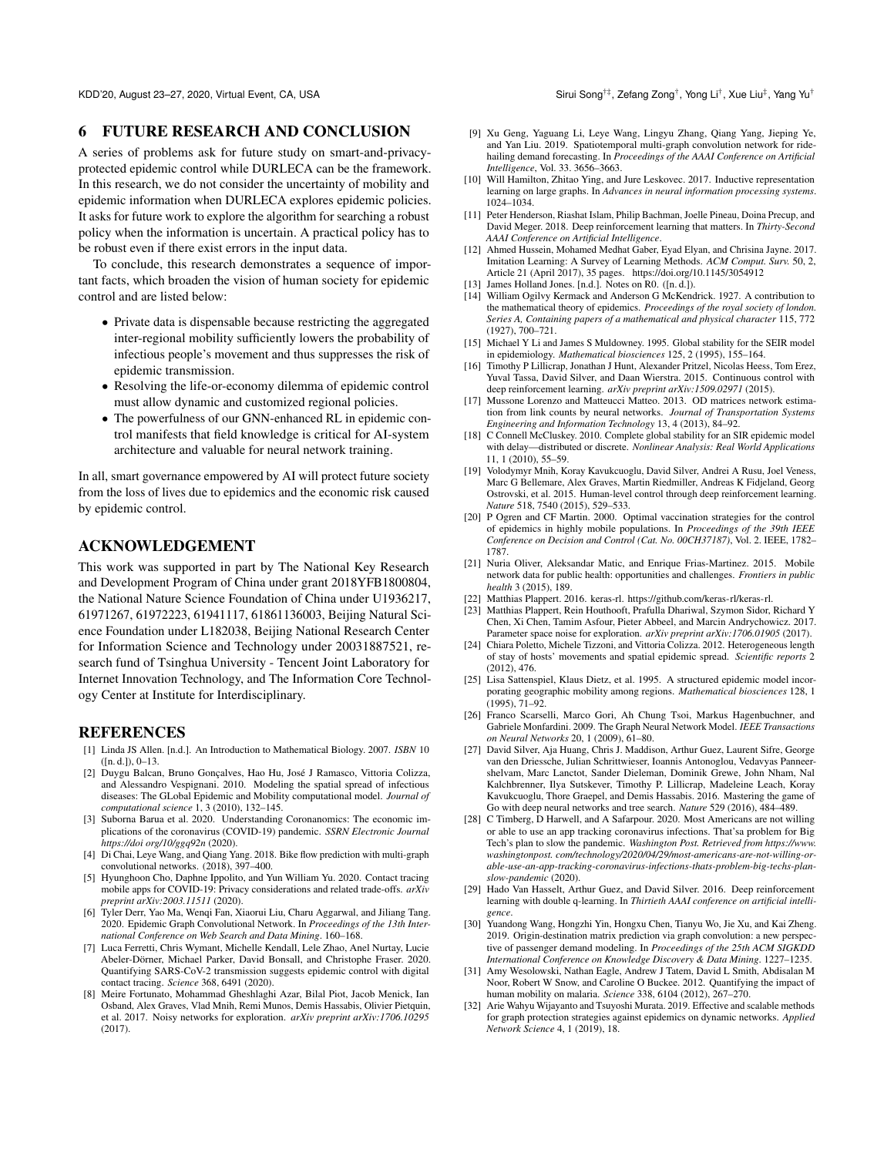KDD'20, August 23–27, 2020, Virtual Event, CA, USA

#### 6 FUTURE RESEARCH AND CONCLUSION

A series of problems ask for future study on smart-and-privacyprotected epidemic control while DURLECA can be the framework. In this research, we do not consider the uncertainty of mobility and epidemic information when DURLECA explores epidemic policies. It asks for future work to explore the algorithm for searching a robust policy when the information is uncertain. A practical policy has to be robust even if there exist errors in the input data.

To conclude, this research demonstrates a sequence of important facts, which broaden the vision of human society for epidemic control and are listed below:

- Private data is dispensable because restricting the aggregated inter-regional mobility sufficiently lowers the probability of infectious people's movement and thus suppresses the risk of epidemic transmission.
- Resolving the life-or-economy dilemma of epidemic control must allow dynamic and customized regional policies.
- The powerfulness of our GNN-enhanced RL in epidemic control manifests that field knowledge is critical for AI-system architecture and valuable for neural network training.

In all, smart governance empowered by AI will protect future society from the loss of lives due to epidemics and the economic risk caused by epidemic control.

# ACKNOWLEDGEMENT

This work was supported in part by The National Key Research and Development Program of China under grant 2018YFB1800804, the National Nature Science Foundation of China under U1936217, 61971267, 61972223, 61941117, 61861136003, Beijing Natural Science Foundation under L182038, Beijing National Research Center for Information Science and Technology under 20031887521, research fund of Tsinghua University - Tencent Joint Laboratory for Internet Innovation Technology, and The Information Core Technology Center at Institute for Interdisciplinary.

#### **REFERENCES**

- <span id="page-7-16"></span>[1] Linda JS Allen. [n.d.]. An Introduction to Mathematical Biology. 2007. *ISBN* 10 ([n. d.]), 0–13.
- <span id="page-7-0"></span>[2] Duygu Balcan, Bruno Gonçalves, Hao Hu, José J Ramasco, Vittoria Colizza, and Alessandro Vespignani. 2010. Modeling the spatial spread of infectious diseases: The GLobal Epidemic and Mobility computational model. *Journal of computational science* 1, 3 (2010), 132–145.
- <span id="page-7-3"></span>[3] Suborna Barua et al. 2020. Understanding Coronanomics: The economic implications of the coronavirus (COVID-19) pandemic. *SSRN Electronic Journal https://doi org/10/ggq92n* (2020).
- <span id="page-7-20"></span>[4] Di Chai, Leye Wang, and Qiang Yang. 2018. Bike flow prediction with multi-graph convolutional networks. (2018), 397–400.
- <span id="page-7-6"></span>[5] Hyunghoon Cho, Daphne Ippolito, and Yun William Yu. 2020. Contact tracing mobile apps for COVID-19: Privacy considerations and related trade-offs. *arXiv preprint arXiv:2003.11511* (2020).
- <span id="page-7-23"></span>[6] Tyler Derr, Yao Ma, Wenqi Fan, Xiaorui Liu, Charu Aggarwal, and Jiliang Tang. 2020. Epidemic Graph Convolutional Network. In *Proceedings of the 13th International Conference on Web Search and Data Mining*. 160–168.
- <span id="page-7-4"></span>[7] Luca Ferretti, Chris Wymant, Michelle Kendall, Lele Zhao, Anel Nurtay, Lucie Abeler-Dörner, Michael Parker, David Bonsall, and Christophe Fraser. 2020. Quantifying SARS-CoV-2 transmission suggests epidemic control with digital contact tracing. *Science* 368, 6491 (2020).
- <span id="page-7-26"></span>[8] Meire Fortunato, Mohammad Gheshlaghi Azar, Bilal Piot, Jacob Menick, Ian Osband, Alex Graves, Vlad Mnih, Remi Munos, Demis Hassabis, Olivier Pietquin, et al. 2017. Noisy networks for exploration. *arXiv preprint arXiv:1706.10295* (2017).
- <span id="page-7-21"></span>[9] Xu Geng, Yaguang Li, Leye Wang, Lingyu Zhang, Qiang Yang, Jieping Ye, and Yan Liu. 2019. Spatiotemporal multi-graph convolution network for ridehailing demand forecasting. In *Proceedings of the AAAI Conference on Artificial Intelligence*, Vol. 33. 3656–3663.
- <span id="page-7-12"></span>[10] Will Hamilton, Zhitao Ying, and Jure Leskovec. 2017. Inductive representation learning on large graphs. In *Advances in neural information processing systems*. 1024–1034.
- <span id="page-7-27"></span>[11] Peter Henderson, Riashat Islam, Philip Bachman, Joelle Pineau, Doina Precup, and David Meger. 2018. Deep reinforcement learning that matters. In *Thirty-Second AAAI Conference on Artificial Intelligence*.
- <span id="page-7-28"></span>[12] Ahmed Hussein, Mohamed Medhat Gaber, Eyad Elyan, and Chrisina Jayne. 2017. Imitation Learning: A Survey of Learning Methods. *ACM Comput. Surv.* 50, 2, Article 21 (April 2017), 35 pages.<https://doi.org/10.1145/3054912>
- <span id="page-7-31"></span>[13] James Holland Jones. [n.d.]. Notes on R0. ([n.d.]).
- <span id="page-7-8"></span>[14] William Ogilvy Kermack and Anderson G McKendrick. 1927. A contribution to the mathematical theory of epidemics. *Proceedings of the royal society of london. Series A, Containing papers of a mathematical and physical character* 115, 772 (1927), 700–721.
- <span id="page-7-9"></span>[15] Michael Y Li and James S Muldowney. 1995. Global stability for the SEIR model in epidemiology. *Mathematical biosciences* 125, 2 (1995), 155–164.
- <span id="page-7-10"></span>[16] Timothy P Lillicrap, Jonathan J Hunt, Alexander Pritzel, Nicolas Heess, Tom Erez, Yuval Tassa, David Silver, and Daan Wierstra. 2015. Continuous control with deep reinforcement learning. *arXiv preprint arXiv:1509.02971* (2015).
- <span id="page-7-18"></span>[17] Mussone Lorenzo and Matteucci Matteo. 2013. OD matrices network estimation from link counts by neural networks. *Journal of Transportation Systems Engineering and Information Technology* 13, 4 (2013), 84–92.
- <span id="page-7-15"></span>[18] C Connell McCluskey. 2010. Complete global stability for an SIR epidemic model with delay—distributed or discrete. *Nonlinear Analysis: Real World Applications* 11, 1 (2010), 55–59.
- <span id="page-7-24"></span>[19] Volodymyr Mnih, Koray Kavukcuoglu, David Silver, Andrei A Rusu, Joel Veness, Marc G Bellemare, Alex Graves, Martin Riedmiller, Andreas K Fidjeland, Georg Ostrovski, et al. 2015. Human-level control through deep reinforcement learning. *Nature* 518, 7540 (2015), 529–533.
- <span id="page-7-14"></span>[20] P Ogren and CF Martin. 2000. Optimal vaccination strategies for the control of epidemics in highly mobile populations. In *Proceedings of the 39th IEEE Conference on Decision and Control (Cat. No. 00CH37187)*, Vol. 2. IEEE, 1782– 1787.
- <span id="page-7-5"></span>[21] Nuria Oliver, Aleksandar Matic, and Enrique Frias-Martinez. 2015. Mobile network data for public health: opportunities and challenges. *Frontiers in public health* 3 (2015), 189.
- <span id="page-7-30"></span>[22] Matthias Plappert. 2016. keras-rl. [https://github.com/keras-rl/keras-rl.](https://github.com/keras-rl/keras-rl)
- <span id="page-7-11"></span>[23] Matthias Plappert, Rein Houthooft, Prafulla Dhariwal, Szymon Sidor, Richard Y Chen, Xi Chen, Tamim Asfour, Pieter Abbeel, and Marcin Andrychowicz. 2017. Parameter space noise for exploration. *arXiv preprint arXiv:1706.01905* (2017).
- <span id="page-7-1"></span>[24] Chiara Poletto, Michele Tizzoni, and Vittoria Colizza. 2012. Heterogeneous length of stay of hosts' movements and spatial epidemic spread. *Scientific reports* 2 (2012), 476.
- <span id="page-7-17"></span>[25] Lisa Sattenspiel, Klaus Dietz, et al. 1995. A structured epidemic model incorporating geographic mobility among regions. *Mathematical biosciences* 128, 1 (1995), 71–92.
- <span id="page-7-19"></span>[26] Franco Scarselli, Marco Gori, Ah Chung Tsoi, Markus Hagenbuchner, and Gabriele Monfardini. 2009. The Graph Neural Network Model. *IEEE Transactions on Neural Networks* 20, 1 (2009), 61–80.
- <span id="page-7-13"></span>[27] David Silver, Aja Huang, Chris J. Maddison, Arthur Guez, Laurent Sifre, George van den Driessche, Julian Schrittwieser, Ioannis Antonoglou, Vedavyas Panneershelvam, Marc Lanctot, Sander Dieleman, Dominik Grewe, John Nham, Nal Kalchbrenner, Ilya Sutskever, Timothy P. Lillicrap, Madeleine Leach, Koray Kavukcuoglu, Thore Graepel, and Demis Hassabis. 2016. Mastering the game of Go with deep neural networks and tree search. *Nature* 529 (2016), 484–489.
- <span id="page-7-7"></span>[28] C Timberg, D Harwell, and A Safarpour. 2020. Most Americans are not willing or able to use an app tracking coronavirus infections. That'sa problem for Big Tech's plan to slow the pandemic. *Washington Post. Retrieved from https://www. washingtonpost. com/technology/2020/04/29/most-americans-are-not-willing-orable-use-an-app-tracking-coronavirus-infections-thats-problem-big-techs-planslow-pandemic* (2020).
- <span id="page-7-25"></span>[29] Hado Van Hasselt, Arthur Guez, and David Silver. 2016. Deep reinforcement learning with double q-learning. In *Thirtieth AAAI conference on artificial intelligence*.
- <span id="page-7-22"></span>[30] Yuandong Wang, Hongzhi Yin, Hongxu Chen, Tianyu Wo, Jie Xu, and Kai Zheng. 2019. Origin-destination matrix prediction via graph convolution: a new perspective of passenger demand modeling. In *Proceedings of the 25th ACM SIGKDD International Conference on Knowledge Discovery & Data Mining*. 1227–1235.
- <span id="page-7-2"></span>[31] Amy Wesolowski, Nathan Eagle, Andrew J Tatem, David L Smith, Abdisalan M Noor, Robert W Snow, and Caroline O Buckee. 2012. Quantifying the impact of human mobility on malaria. *Science* 338, 6104 (2012), 267–270.
- <span id="page-7-29"></span>[32] Arie Wahyu Wijayanto and Tsuyoshi Murata. 2019. Effective and scalable methods for graph protection strategies against epidemics on dynamic networks. *Applied Network Science* 4, 1 (2019), 18.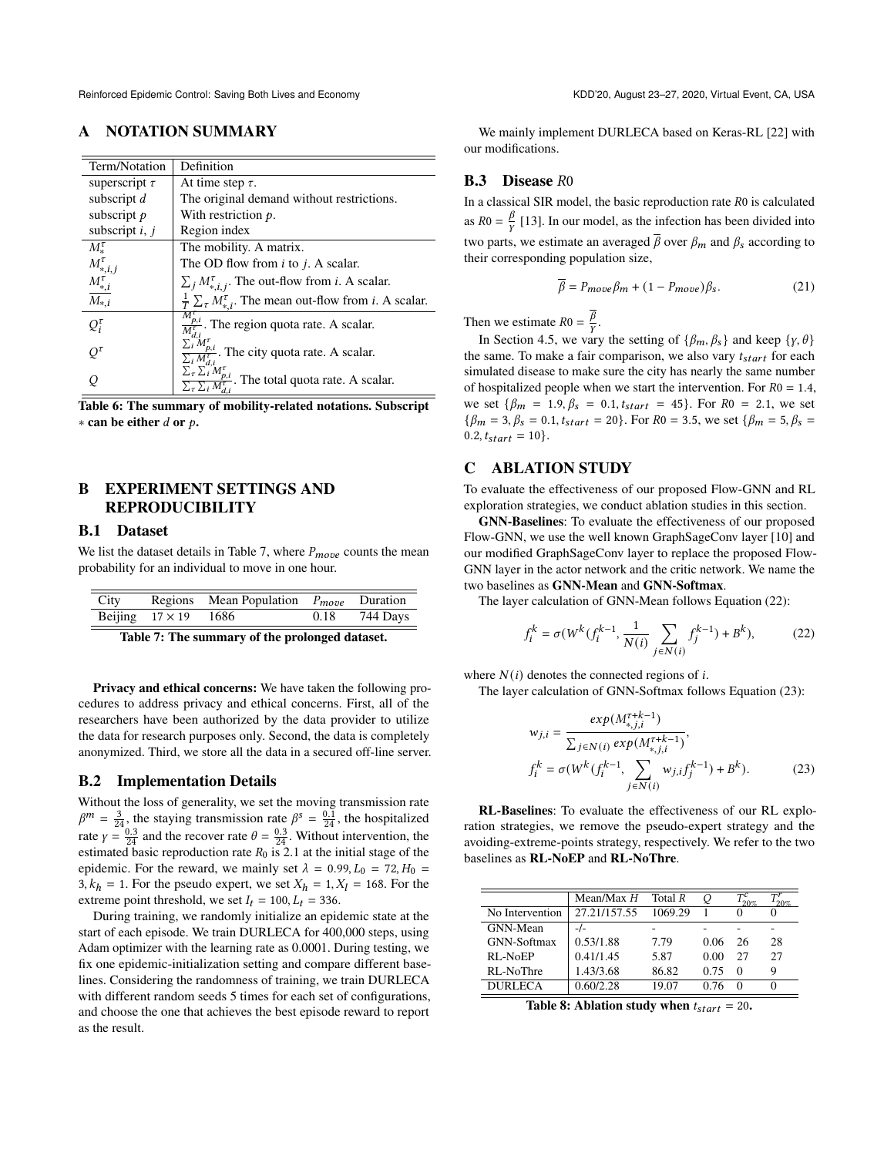# A NOTATION SUMMARY

| Term/Notation                          | Definition                                                                                                  |
|----------------------------------------|-------------------------------------------------------------------------------------------------------------|
| superscript $\tau$                     | At time step $\tau$ .                                                                                       |
| subscript d                            | The original demand without restrictions.                                                                   |
| subscript $p$                          | With restriction $p$ .                                                                                      |
| subscript $i, j$                       | Region index                                                                                                |
| $M_{*}^{\tau}$                         | The mobility. A matrix.                                                                                     |
|                                        | The OD flow from $i$ to $j$ . A scalar.                                                                     |
| $M_{*,i,j}^{\tau}$<br>$M_{*,i}^{\tau}$ | $\sum_j M_{*,i,j}^{\tau}$ . The out-flow from <i>i</i> . A scalar.                                          |
| $\overline{M}_{*,i}$                   | $\frac{1}{T} \sum_{\tau} M_{*,i}^{\tau}$ . The mean out-flow from <i>i</i> . A scalar.                      |
| $Q_i^{\tau}$                           | $\frac{M_{p,i}^{\tau}}{M_{j,i}^{\tau}}$ . The region quota rate. A scalar.                                  |
| $O^{\tau}$                             | $\frac{p,i}{\sigma^2}$ . The city quota rate. A scalar.<br>$\overline{\Sigma_i} M_{d,i}^{\tau}$             |
|                                        | $\sum_{\tau}^{L_i} \frac{\sum_{i}^{u_i} M_{p,i}^{\tau}}{M_{p,i}^{\tau}}$<br>The total quota rate. A scalar. |

Table 6: The summary of mobility-related notations. Subscript  $*$  can be either d or  $p$ .

# B EXPERIMENT SETTINGS AND REPRODUCIBILITY

#### B.1 Dataset

We list the dataset details in Table [7,](#page-8-0) where  $P_{move}$  counts the mean probability for an individual to move in one hour.

<span id="page-8-0"></span>

|                             | City Regions Mean Population $P_{move}$ Duration |               |
|-----------------------------|--------------------------------------------------|---------------|
| Beijing $17 \times 19$ 1686 |                                                  | 0.18 744 Days |

Table 7: The summary of the prolonged dataset.

Privacy and ethical concerns: We have taken the following procedures to address privacy and ethical concerns. First, all of the researchers have been authorized by the data provider to utilize the data for research purposes only. Second, the data is completely anonymized. Third, we store all the data in a secured off-line server.

#### B.2 Implementation Details

Without the loss of generality, we set the moving transmission rate  $\beta^m = \frac{3}{24}$ , the staying transmission rate  $\beta^s = \frac{0.1}{24}$ , the hospitalized rate  $\gamma = \frac{0.3}{24}$  and the recover rate  $\theta = \frac{0.3}{24}$ . Without intervention, the estimated basic reproduction rate  $R_0$  is 2.1 at the initial stage of the epidemic. For the reward, we mainly set  $\lambda = 0.99, L_0 = 72, H_0 =$  $3, k_h = 1$ . For the pseudo expert, we set  $X_h = 1, X_l = 168$ . For the extreme point threshold, we set  $I_t = 100$ ,  $L_t = 336$ .

During training, we randomly initialize an epidemic state at the start of each episode. We train DURLECA for 400,000 steps, using Adam optimizer with the learning rate as 0.0001. During testing, we fix one epidemic-initialization setting and compare different baselines. Considering the randomness of training, we train DURLECA with different random seeds 5 times for each set of configurations, and choose the one that achieves the best episode reward to report as the result.

We mainly implement DURLECA based on Keras-RL [\[22\]](#page-7-30) with our modifications.

#### $B.3$  Disease  $R0$

In a classical SIR model, the basic reproduction rate  $R0$  is calculated as  $R0 = \frac{\beta}{V}$  [\[13\]](#page-7-31). In our model, as the infection has been divided into two parts, we estimate an averaged  $\bar{\beta}$  over  $\beta_m$  and  $\beta_s$  according to their corresponding population size,

$$
\overline{\beta} = P_{move} \beta_m + (1 - P_{move}) \beta_s. \tag{21}
$$

Then we estimate  $R0 = \frac{\overline{\beta}}{v}$ .

In Section 4.5, we vary the setting of  $\{\beta_m, \beta_s\}$  and keep  $\{\gamma, \theta\}$ the same. To make a fair comparison, we also vary  $t_{start}$  for each simulated disease to make sure the city has nearly the same number of hospitalized people when we start the intervention. For  $R0 = 1.4$ , we set  $\{\beta_m = 1.9, \beta_s = 0.1, t_{start} = 45\}$ . For  $R_0 = 2.1$ , we set  ${\beta_m = 3, \beta_s = 0.1, t_{start} = 20}.$  For  $R0 = 3.5$ , we set  ${\beta_m = 5, \beta_s = 1}$  $0.2, t_{start} = 10$ .

#### C ABLATION STUDY

To evaluate the effectiveness of our proposed Flow-GNN and RL exploration strategies, we conduct ablation studies in this section.

GNN-Baselines: To evaluate the effectiveness of our proposed Flow-GNN, we use the well known GraphSageConv layer [\[10\]](#page-7-12) and our modified GraphSageConv layer to replace the proposed Flow-GNN layer in the actor network and the critic network. We name the two baselines as GNN-Mean and GNN-Softmax.

The layer calculation of GNN-Mean follows Equation [\(22\)](#page-8-1):

<span id="page-8-1"></span>
$$
f_i^k = \sigma(W^k(f_i^{k-1}, \frac{1}{N(i)} \sum_{j \in N(i)} f_j^{k-1}) + B^k),
$$
 (22)

where  $N(i)$  denotes the connected regions of i.

The layer calculation of GNN-Softmax follows Equation [\(23\)](#page-8-2):

<span id="page-8-2"></span>
$$
w_{j,i} = \frac{exp(M_{*,j,i}^{\tau+k-1})}{\sum_{j \in N(i)} exp(M_{*,j,i}^{\tau+k-1})},
$$
  

$$
f_i^k = \sigma(W^k(f_i^{k-1}, \sum_{j \in N(i)} w_{j,i} f_j^{k-1}) + B^k).
$$
 (23)

RL-Baselines: To evaluate the effectiveness of our RL exploration strategies, we remove the pseudo-expert strategy and the avoiding-extreme-points strategy, respectively. We refer to the two baselines as RL-NoEP and RL-NoThre.

<span id="page-8-3"></span>

|                 | Mean/Max $H$ | Total R | O    | 20%      | 20% |
|-----------------|--------------|---------|------|----------|-----|
| No Intervention | 27.21/157.55 | 1069.29 |      |          |     |
| GNN-Mean        |              |         |      |          |     |
| GNN-Softmax     | 0.53/1.88    | 7.79    | 0.06 | 26       | 28  |
| RL-NoEP         | 0.41/1.45    | 5.87    | 0.00 | 27       | 27  |
| RL-NoThre       | 1.43/3.68    | 86.82   | 0.75 | $\Omega$ | Q   |
| <b>DURLECA</b>  | 0.60/2.28    | 19.07   | በ 76 |          |     |

Table 8: Ablation study when  $t_{start} = 20$ .